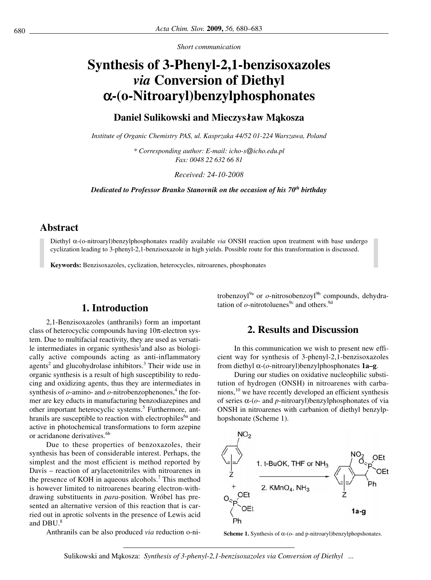*Short communication*

# **Synthesis of 3-Phenyl-2,1-benzisoxazoles**  *via* **Conversion of Diethyl**  α**-(o-Nitroaryl)benzylphosphonates**

## **Daniel Sulikowski and Mieczyslaw Ma**˛**kosza**

*Institute of Organic Chemistry PAS, ul. Kasprzaka 44/52 01-224 Warszawa, Poland*

*\* Corresponding author: E-mail: icho-s@icho.edu.pl Fax: 0048 22 632 66 81*

*Received: 24-10-2008*

*Dedicated to Professor Branko Stanovnik on the occasion of his 70th birthday*

## **Abstract**

Diethyl α-(o-nitroaryl)benzylphosphonates readily available *via* ONSH reaction upon treatment with base undergo cyclization leading to 3-phenyl-2,1-benzisoxazole in high yields. Possible route for this transformation is discussed.

**Keywords:** Benzisoxazoles, cyclization, heterocycles, nitroarenes, phosphonates

# **1. Introduction**

2,1-Benzisoxazoles (anthranils) form an important class of heterocyclic compounds having 10π-electron system. Due to multifacial reactivity, they are used as versatile intermediates in organic synthesis<sup>1</sup> and also as biologically active compounds acting as anti-inflammatory agents<sup>2</sup> and glucohydrolase inhibitors.<sup>3</sup> Their wide use in organic synthesis is a result of high susceptibility to reducing and oxidizing agents, thus they are intermediates in synthesis of  $o$ -amino- and  $o$ -nitrobenzophenones,<sup>4</sup> the former are key educts in manufacturing benzodiazepines and other important heterocyclic systems.<sup>5</sup> Furthermore, anthranils are susceptible to reaction with electrophiles<sup>6a</sup> and active in photochemical transformations to form azepine or acridanone derivatives.<sup>6b</sup>

Due to these properties of benzoxazoles, their synthesis has been of considerable interest. Perhaps, the simplest and the most efficient is method reported by Davis – reaction of arylacetonitriles with nitroarenes in the presence of KOH in aqueous alcohols.<sup>7</sup> This method is however limited to nitroarenes bearing electron-withdrawing substituents in *para*-position. Wróbel has presented an alternative version of this reaction that is carried out in aprotic solvents in the presence of Lewis acid and DBU.<sup>8</sup>

Anthranils can be also produced *via* reduction o-ni-

trobenzoyl<sup>9a</sup> or *o*-nitrosobenzoyl<sup>9b</sup> compounds, dehydratation of  $o$ -nitrotoluenes<sup>9c</sup> and others.<sup>9d</sup>

# **2. Results and Discussion**

In this communication we wish to present new efficient way for synthesis of 3-phenyl-2,1-benzisoxazoles from diethyl α-(*o*-nitroaryl)benzylphosphonates **1a–g**.

During our studies on oxidative nucleophilic substitution of hydrogen (ONSH) in nitroarenes with carbanions,10 we have recently developed an efficient synthesis of series α-(*o*- and *p*-nitroaryl)benzylphosphonates of via ONSH in nitroarenes with carbanion of diethyl benzylphopshonate (Scheme 1).



**Scheme 1.** Synthesis of  $\alpha$ -(o- and p-nitroaryl)benzylphopshonates.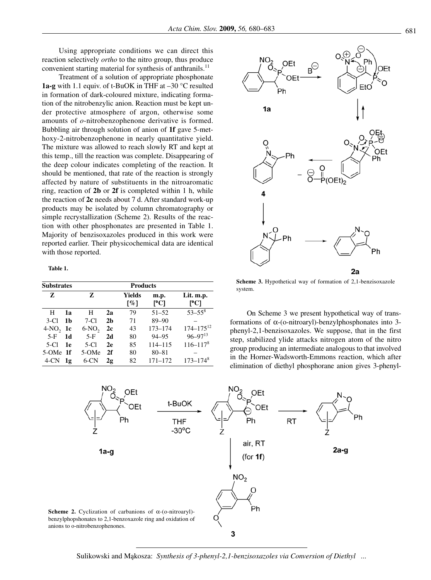Using appropriate conditions we can direct this reaction selectively *ortho* to the nitro group, thus produce convenient starting material for synthesis of anthranils.<sup>11</sup>

Treatment of a solution of appropriate phosphonate **1a-g** with 1.1 equiv. of t-BuOK in THF at –30 °C resulted in formation of dark-coloured mixture, indicating formation of the nitrobenzylic anion. Reaction must be kept under protective atmosphere of argon, otherwise some amounts of *o*-nitrobenzophenone derivative is formed. Bubbling air through solution of anion of **1f** gave 5-methoxy-2-nitrobenzophenone in nearly quantitative yield. The mixture was allowed to reach slowly RT and kept at this temp., till the reaction was complete. Disappearing of the deep colour indicates completing of the reaction. It should be mentioned, that rate of the reaction is strongly affected by nature of substituents in the nitroaromatic ring, reaction of **2b** or **2f** is completed within 1 h, while the reaction of **2c** needs about 7 d. After standard work-up products may be isolated by column chromatography or simple recrystallization (Scheme 2). Results of the reaction with other phosphonates are presented in Table 1. Majority of benzisoxazoles produced in this work were reported earlier. Their physicochemical data are identical with those reported.

**Table 1.**

| <b>Substrates</b> |    | <b>Products</b> |                |               |             |                          |
|-------------------|----|-----------------|----------------|---------------|-------------|--------------------------|
| Z                 |    | Z               |                | Yields<br>[%] | m.p.<br>PC1 | Lit. m.p.<br>PC1         |
| H                 | 1я | н               | 2a             | 79            | $51 - 52$   | $53 - 55^8$              |
| $3-C1$            | 1b | $7-C1$          | 2 <sub>b</sub> | 71            | $89 - 90$   |                          |
| $4-NO, 1c$        |    | $6-NO2$         | 2c             | 43            | $173 - 174$ | $174 - 175^{12}$         |
| $5-F$             | 1d | $5-F$           | 2d             | 80            | $94 - 95$   | $96 - 97^{13}$           |
| 5-CI              | 1e | 5-CI            | 2e             | 85            | 114-115     | $116 - 1178$             |
| 5-OMe 1f          |    | 5-OMe           | 2f             | 80            | $80 - 81$   |                          |
| $4$ -CN           | 1g | 6-CN            | 2g             | 82            | $171 - 172$ | $173 - 174$ <sup>8</sup> |



Scheme 3. Hypothetical way of formation of 2,1-benzisoxazole system.

On Scheme 3 we present hypothetical way of transformations of α-(o-nitroaryl)-benzylphosphonates into 3 phenyl-2,1-benzisoxazoles. We suppose, that in the first step, stabilized ylide attacks nitrogen atom of the nitro group producing an intermediate analogous to that involved in the Horner-Wadsworth-Emmons reaction, which after elimination of diethyl phosphorane anion gives 3-phenyl-

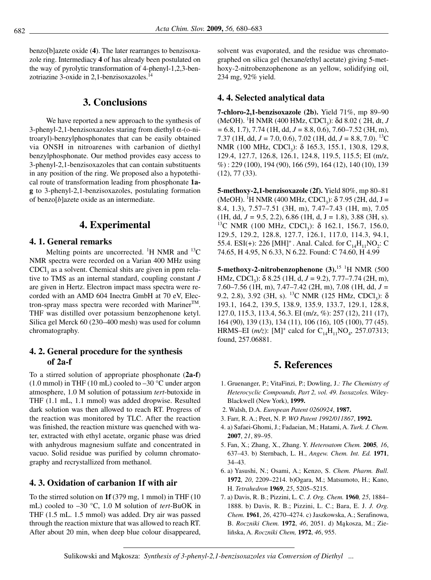benzo[b]azete oxide (**4**). The later rearranges to benzisoxazole ring. Intermediacy **4** of has already been postulated on the way of pyrolytic transformation of 4-phenyl-1,2,3-benzotriazine 3-oxide in 2,1-benzisoxazoles.<sup>14</sup>

# **3. Conclusions**

We have reported a new approach to the synthesis of 3-phenyl-2,1-benzisoxazoles staring from diethyl α-(o-nitroaryl)-benzylphosphonates that can be easily obtained via ONSH in nitroarenes with carbanion of diethyl benzylphosphonate. Our method provides easy access to 3-phenyl-2,1-benzisoxazoles that can contain substituents in any position of the ring. We proposed also a hypotethical route of transformation leading from phosphonate **1ag** to 3-phenyl-2,1-benzisoxazoles, postulating formation of benzo[*b*]azete oxide as an intermediate.

# **4. Experimental**

#### **4. 1. General remarks**

Melting points are uncorrected. <sup>1</sup>H NMR and <sup>13</sup>C NMR spectra were recorded on a Varian 400 MHz using  $CDCl<sub>3</sub>$  as a solvent. Chemical shits are given in ppm relative to TMS as an internal standard, coupling constant *J* are given in Hertz. Electron impact mass spectra were recorded with an AMD 604 Inectra GmbH at 70 eV, Electron-spray mass spectra were recorded with Mariner<sup>TM</sup>. THF was distilled over potassium benzophenone ketyl. Silica gel Merck 60 (230–400 mesh) was used for column chromatography.

### **4. 2. General procedure for the synthesis of 2a-f**

To a stirred solution of appropriate phosphonate (**2a-f**) (1.0 mmol) in THF (10 mL) cooled to  $-30$  °C under argon atmosphere, 1.0 M solution of potassium *tert*-butoxide in THF (1.1 mL, 1.1 mmol) was added dropwise. Resulted dark solution was then allowed to reach RT. Progress of the reaction was monitored by TLC. After the reaction was finished, the reaction mixture was quenched with water, extracted with ethyl acetate, organic phase was dried with anhydrous magnesium sulfate and concentrated in vacuo. Solid residue was purified by column chromatography and recrystallized from methanol.

#### **4. 3. Oxidation of carbanion 1f with air**

To the stirred solution on **1f** (379 mg, 1 mmol) in THF (10 mL) cooled to –30 °C, 1.0 M solution of *tert*-BuOK in THF (1.5 mL. 1.5 mmol) was added. Dry air was passed through the reaction mixture that was allowed to reach RT. After about 20 min, when deep blue colour disappeared, solvent was evaporated, and the residue was chromatographed on silica gel (hexane/ethyl acetate) giving 5-methoxy-2-nitrobenzophenone as an yellow, solidifying oil, 234 mg, 92% yield.

#### **4. 4. Selected analytical data**

**7-chloro-2,1-benzisoxazole (2b).** Yield 71%, mp 89–90 (MeOH). <sup>1</sup>H NMR (400 HMz, CDCl<sub>3</sub>): δd 8.02 (2H, dt, *J =* 6.8, 1.7), 7.74 (1H, dd, *J =* 8.8, 0.6), 7.60–7.52 (3H, m), 7.37 (1H, dd, *J =* 7.0, 0.6), 7.02 (1H, dd, *J =* 8.8, 7.0). 13C NMR (100 MHz, CDCl<sub>3</sub>): δ 165.3, 155.1, 130.8, 129.8, 129.4, 127.7, 126.8, 126.1, 124.8, 119.5, 115.5; EI (m/z, %) : 229 (100), 194 (90), 166 (59), 164 (12), 140 (10), 139 (12), 77 (33).

**5-methoxy-2,1-benzisoxazole (2f).** Yield 80%, mp 80–81 (MeOH). <sup>1</sup>H NMR (400 MHz, CDCl<sub>3</sub>):  $\delta$  7.95 (2H, dd, J = 8.4, 1.3), 7.57–7.51 (3H, m), 7.47–7.43 (1H, m), 7.05  $(1H, dd, J = 9.5, 2.2), 6.86$   $(1H, d, J = 1.8), 3.88$   $(3H, s).$ <sup>13</sup>C NMR (100 MHz, CDCl<sub>3</sub>): δ 162.1, 156.7, 156.0, 129.5, 129.2, 128.8, 127.7, 126.1, 117.0, 114.3, 94.1, 55.4. ESI(+): 226 [MH]<sup>+</sup>. Anal. Calcd. for  $C_{14}H_{11}NO_2$ : C 74.65, H 4.95, N 6.33, N 6.22. Found: C 74.60, H 4.99

**5-methoxy-2-nitrobenzophenone (3).**<sup>15 1</sup>H NMR (500 HMz, CDCl3): δ 8.25 (1H, d, *J =* 9.2), 7.77–7.74 (2H, m), 7.60–7.56 (1H, m), 7.47–7.42 (2H, m), 7.08 (1H, dd, *J =* 9.2, 2.8), 3.92 (3H, s). <sup>13</sup>C NMR (125 HMz, CDCl<sub>3</sub>): δ 193.1, 164.2, 139.5, 138.9, 135.9, 133.7, 129.1, 128.8, 127.0, 115.3, 113.4, 56.3. EI (m/z, %): 257 (12), 211 (17), 164 (90), 139 (13), 134 (11), 106 (16), 105 (100), 77 (45). HRMS–EI ( $m/z$ ): [M]<sup>+</sup> calcd for C<sub>14</sub>H<sub>11</sub>NO<sub>4</sub>, 257.07313; found, 257.06881.

# **5. References**

- 1. Gruenanger, P.; VitaFinzi, P.; Dowling, J.*: The Chemistry of Heterocyclic Compounds, Part 2, vol. 49. Isoxazoles.* Wiley-Blackwell (New York), **1999.**
- 2. Walsh, D.A. *European Patent 0260924*, **1987.**
- 3. Farr, R. A.; Peet, N. P. *WO Patent 1992/011867*, **1992.**
- 4. a) Safaei-Ghomi, J.; Fadaeian, M.; Hatami, A. *Turk. J. Chem.* **2007**, *21*, 89–95.
- 5. Fan, X.; Zhang, X., Zhang. Y. *Heteroatom Chem.* **2005***, 16*, 637–43. b) Sternbach, L. H., *Angew. Chem. Int. Ed.* **1971**, 34–43.
- 6. a) Yasushi, N.; Osami, A.; Kenzo, S. *Chem. Pharm. Bull.* **1972**, *20*, 2209–2214. b)Ogara, M.; Matsumoto, H.; Kano, H. *Tetrahedron* **1969**, *25*, 5205–5215.
- 7. a) Davis, R. B.; Pizzini, L. C. *J. Org. Chem.* **1960***, 25*, 1884– 1888. b) Davis, R. B.; Pizzini, L. C.; Bara, E. J. *J. Org. Chem.* **1961**, *26*, 4270–4274. c) Jaszkowska, A.; Serafinowa, B. *Roczniki Chem.* **<sup>1972</sup>**, *46*, 2051. d) Ma˛kosza, M.; Zieliñska, A. *Roczniki Chem,* **1972**, *46*, 955.

Sulikowski and Ma˛kosza: *Synthesis of 3-phenyl-2,1-benzisoxazoles via Conversion of Diethyl ...*